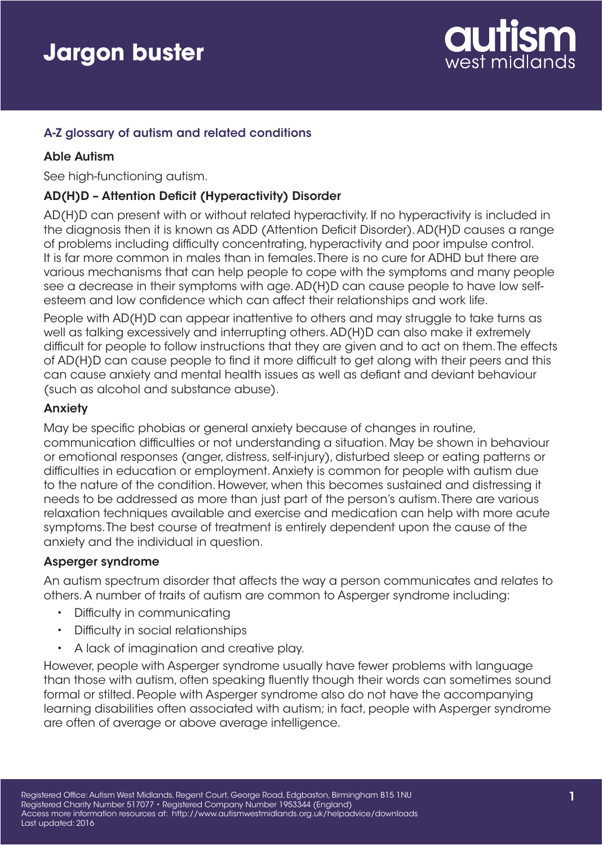

## A-Z glossary of autism and related conditions

### Able Autism

See high-functioning autism.

### AD(H)D – Attention Deficit (Hyperactivity) Disorder

AD(H)D can present with or without related hyperactivity. If no hyperactivity is included in the diagnosis then it is known as ADD (Attention Deficit Disorder). AD(H)D causes a range of problems including difficulty concentrating, hyperactivity and poor impulse control. It is far more common in males than in females. There is no cure for ADHD but there are various mechanisms that can help people to cope with the symptoms and many people see a decrease in their symptoms with age. AD(H)D can cause people to have low selfesteem and low confidence which can affect their relationships and work life.

People with AD(H)D can appear inattentive to others and may struggle to take turns as well as talking excessively and interrupting others. AD(H)D can also make it extremely difficult for people to follow instructions that they are given and to act on them. The effects of AD(H)D can cause people to find it more difficult to get along with their peers and this can cause anxiety and mental health issues as well as defiant and deviant behaviour (such as alcohol and substance abuse).

#### Anxiety

May be specific phobias or general anxiety because of changes in routine, communication difficulties or not understanding a situation. May be shown in behaviour or emotional responses (anger, distress, self-injury), disturbed sleep or eating patterns or difficulties in education or employment. Anxiety is common for people with autism due to the nature of the condition. However, when this becomes sustained and distressing it needs to be addressed as more than just part of the person's autism. There are various relaxation techniques available and exercise and medication can help with more acute symptoms. The best course of treatment is entirely dependent upon the cause of the anxiety and the individual in question.

#### Asperger syndrome

An autism spectrum disorder that affects the way a person communicates and relates to others. A number of traits of autism are common to Asperger syndrome including:

- Difficulty in communicating
- Difficulty in social relationships
- A lack of imagination and creative play.

However, people with Asperger syndrome usually have fewer problems with language than those with autism, often speaking fluently though their words can sometimes sound formal or stilted. People with Asperger syndrome also do not have the accompanying learning disabilities often associated with autism; in fact, people with Asperger syndrome are often of average or above average intelligence.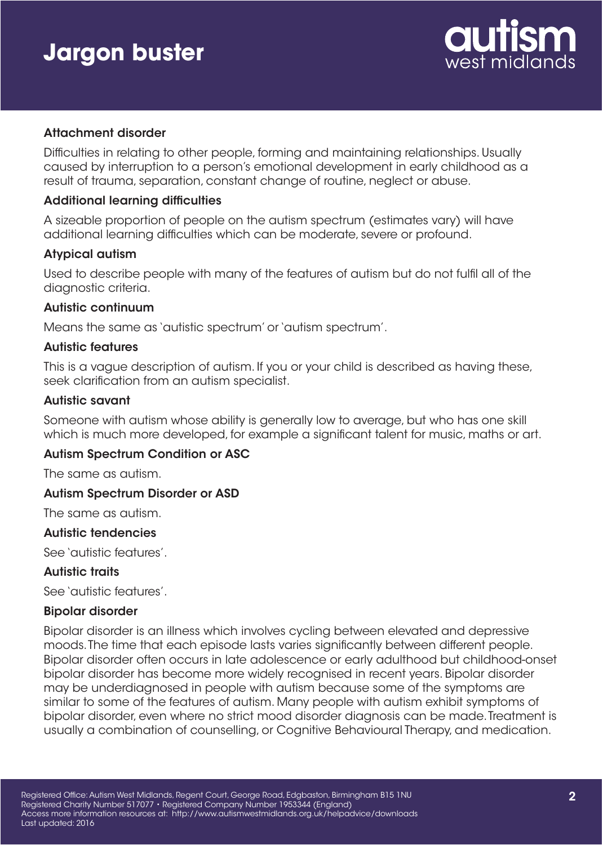

### Attachment disorder

Difficulties in relating to other people, forming and maintaining relationships. Usually caused by interruption to a person's emotional development in early childhood as a result of trauma, separation, constant change of routine, neglect or abuse.

#### Additional learning difficulties

A sizeable proportion of people on the autism spectrum (estimates vary) will have additional learning difficulties which can be moderate, severe or profound.

### Atypical autism

Used to describe people with many of the features of autism but do not fulfil all of the diagnostic criteria.

#### Autistic continuum

Means the same as 'autistic spectrum' or 'autism spectrum'.

#### Autistic features

This is a vague description of autism. If you or your child is described as having these, seek clarification from an autism specialist.

#### Autistic savant

Someone with autism whose ability is generally low to average, but who has one skill which is much more developed, for example a significant talent for music, maths or art.

#### Autism Spectrum Condition or ASC

The same as autism.

#### Autism Spectrum Disorder or ASD

The same as autism.

#### Autistic tendencies

See 'autistic features'.

#### Autistic traits

See 'autistic features'.

#### Bipolar disorder

Bipolar disorder is an illness which involves cycling between elevated and depressive moods. The time that each episode lasts varies significantly between different people. Bipolar disorder often occurs in late adolescence or early adulthood but childhood-onset bipolar disorder has become more widely recognised in recent years. Bipolar disorder may be underdiagnosed in people with autism because some of the symptoms are similar to some of the features of autism. Many people with autism exhibit symptoms of bipolar disorder, even where no strict mood disorder diagnosis can be made. Treatment is usually a combination of counselling, or Cognitive Behavioural Therapy, and medication.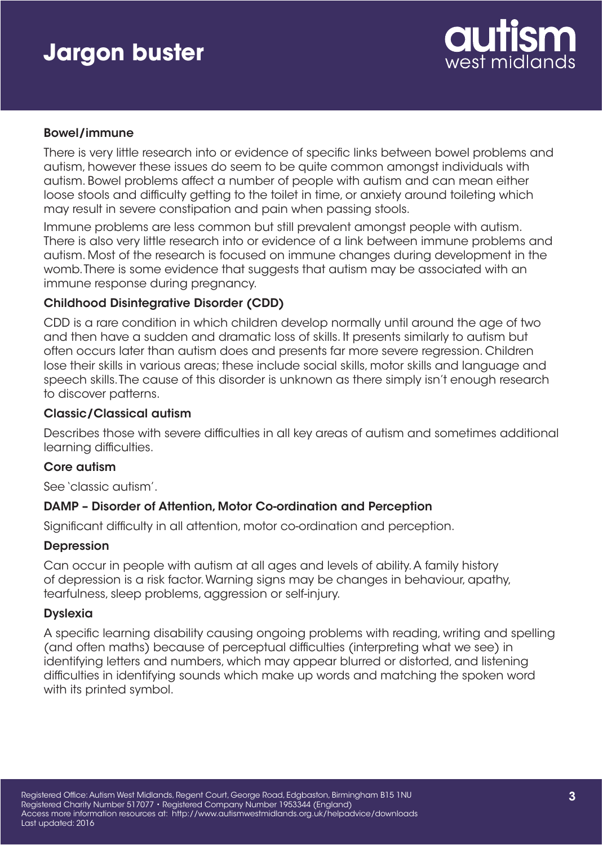

### Bowel/immune

There is very little research into or evidence of specific links between bowel problems and autism, however these issues do seem to be quite common amongst individuals with autism. Bowel problems affect a number of people with autism and can mean either loose stools and difficulty getting to the toilet in time, or anxiety around toileting which may result in severe constipation and pain when passing stools.

Immune problems are less common but still prevalent amongst people with autism. There is also very little research into or evidence of a link between immune problems and autism. Most of the research is focused on immune changes during development in the womb. There is some evidence that suggests that autism may be associated with an immune response during pregnancy.

## Childhood Disintegrative Disorder (CDD)

CDD is a rare condition in which children develop normally until around the age of two and then have a sudden and dramatic loss of skills. It presents similarly to autism but often occurs later than autism does and presents far more severe regression. Children lose their skills in various areas; these include social skills, motor skills and language and speech skills. The cause of this disorder is unknown as there simply isn't enough research to discover patterns.

### Classic/Classical autism

Describes those with severe difficulties in all key areas of autism and sometimes additional learning difficulties.

#### Core autism

See 'classic autism'.

## DAMP – Disorder of Attention, Motor Co-ordination and Perception

Significant difficulty in all attention, motor co-ordination and perception.

#### **Depression**

Can occur in people with autism at all ages and levels of ability. A family history of depression is a risk factor. Warning signs may be changes in behaviour, apathy, tearfulness, sleep problems, aggression or self-injury.

#### **Dyslexia**

A specific learning disability causing ongoing problems with reading, writing and spelling (and often maths) because of perceptual difficulties (interpreting what we see) in identifying letters and numbers, which may appear blurred or distorted, and listening difficulties in identifying sounds which make up words and matching the spoken word with its printed symbol.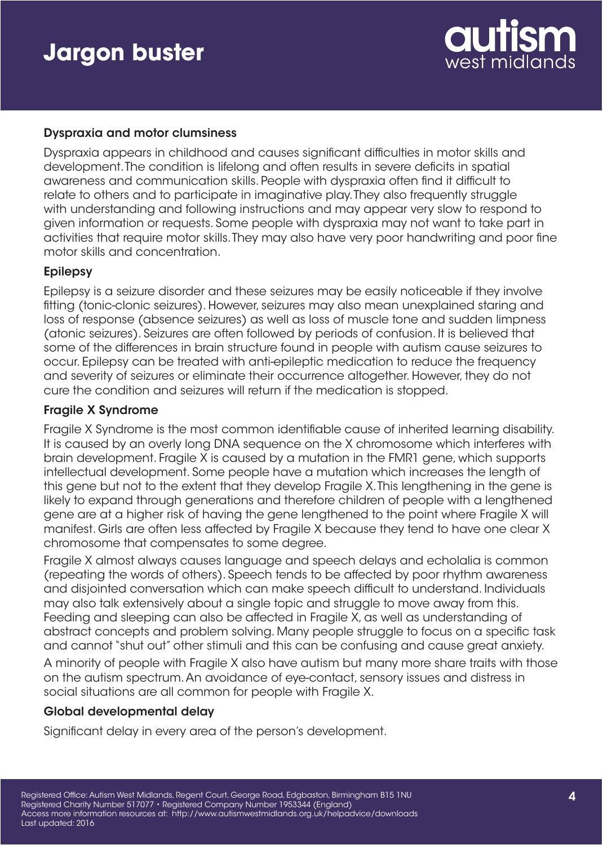

### Dyspraxia and motor clumsiness

Dyspraxia appears in childhood and causes significant difficulties in motor skills and development. The condition is lifelong and often results in severe deficits in spatial awareness and communication skills. People with dyspraxia often find it difficult to relate to others and to participate in imaginative play. They also frequently struggle with understanding and following instructions and may appear very slow to respond to given information or requests. Some people with dyspraxia may not want to take part in activities that require motor skills. They may also have very poor handwriting and poor fine motor skills and concentration.

### Epilepsy

Epilepsy is a seizure disorder and these seizures may be easily noticeable if they involve fitting (tonic-clonic seizures). However, seizures may also mean unexplained staring and loss of response (absence seizures) as well as loss of muscle tone and sudden limpness (atonic seizures). Seizures are often followed by periods of confusion. It is believed that some of the differences in brain structure found in people with autism cause seizures to occur. Epilepsy can be treated with anti-epileptic medication to reduce the frequency and severity of seizures or eliminate their occurrence altogether. However, they do not cure the condition and seizures will return if the medication is stopped.

### Fragile X Syndrome

Fragile X Syndrome is the most common identifiable cause of inherited learning disability. It is caused by an overly long DNA sequence on the X chromosome which interferes with brain development. Fragile X is caused by a mutation in the FMR1 gene, which supports intellectual development. Some people have a mutation which increases the length of this gene but not to the extent that they develop Fragile X. This lengthening in the gene is likely to expand through generations and therefore children of people with a lengthened gene are at a higher risk of having the gene lengthened to the point where Fragile X will manifest. Girls are often less affected by Fragile X because they tend to have one clear X chromosome that compensates to some degree.

Fragile X almost always causes language and speech delays and echolalia is common (repeating the words of others). Speech tends to be affected by poor rhythm awareness and disjointed conversation which can make speech difficult to understand. Individuals may also talk extensively about a single topic and struggle to move away from this. Feeding and sleeping can also be affected in Fragile X, as well as understanding of abstract concepts and problem solving. Many people struggle to focus on a specific task and cannot "shut out" other stimuli and this can be confusing and cause great anxiety.

A minority of people with Fragile X also have autism but many more share traits with those on the autism spectrum. An avoidance of eye-contact, sensory issues and distress in social situations are all common for people with Fragile X.

#### Global developmental delay

Significant delay in every area of the person's development.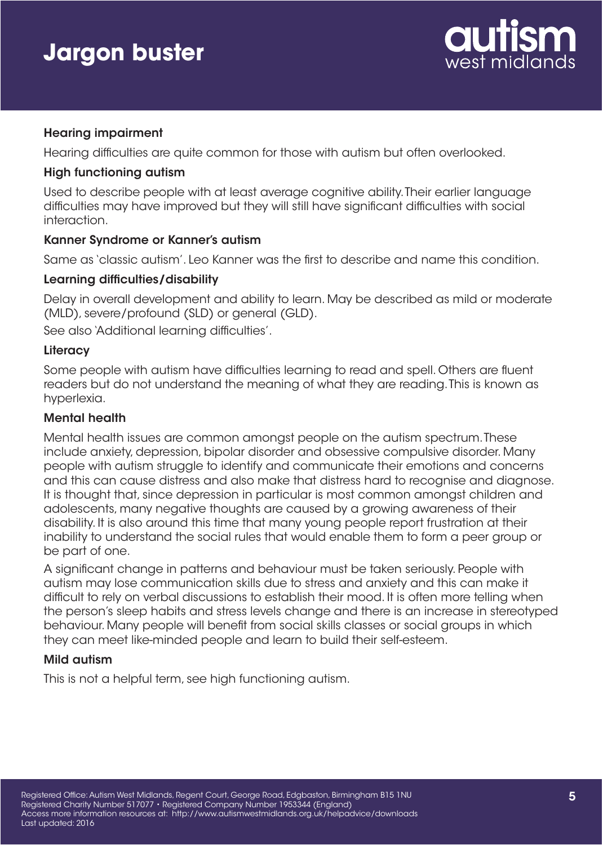

## Hearing impairment

Hearing difficulties are quite common for those with autism but often overlooked.

### High functioning autism

Used to describe people with at least average cognitive ability. Their earlier language difficulties may have improved but they will still have significant difficulties with social interaction.

### Kanner Syndrome or Kanner's autism

Same as 'classic autism'. Leo Kanner was the first to describe and name this condition.

## Learning difficulties/disability

Delay in overall development and ability to learn. May be described as mild or moderate (MLD), severe/profound (SLD) or general (GLD).

See also 'Additional learning difficulties'.

## **Literacy**

Some people with autism have difficulties learning to read and spell. Others are fluent readers but do not understand the meaning of what they are reading. This is known as hyperlexia.

## Mental health

Mental health issues are common amongst people on the autism spectrum. These include anxiety, depression, bipolar disorder and obsessive compulsive disorder. Many people with autism struggle to identify and communicate their emotions and concerns and this can cause distress and also make that distress hard to recognise and diagnose. It is thought that, since depression in particular is most common amongst children and adolescents, many negative thoughts are caused by a growing awareness of their disability. It is also around this time that many young people report frustration at their inability to understand the social rules that would enable them to form a peer group or be part of one.

A significant change in patterns and behaviour must be taken seriously. People with autism may lose communication skills due to stress and anxiety and this can make it difficult to rely on verbal discussions to establish their mood. It is often more telling when the person's sleep habits and stress levels change and there is an increase in stereotyped behaviour. Many people will benefit from social skills classes or social groups in which they can meet like-minded people and learn to build their self-esteem.

## Mild autism

This is not a helpful term, see high functioning autism.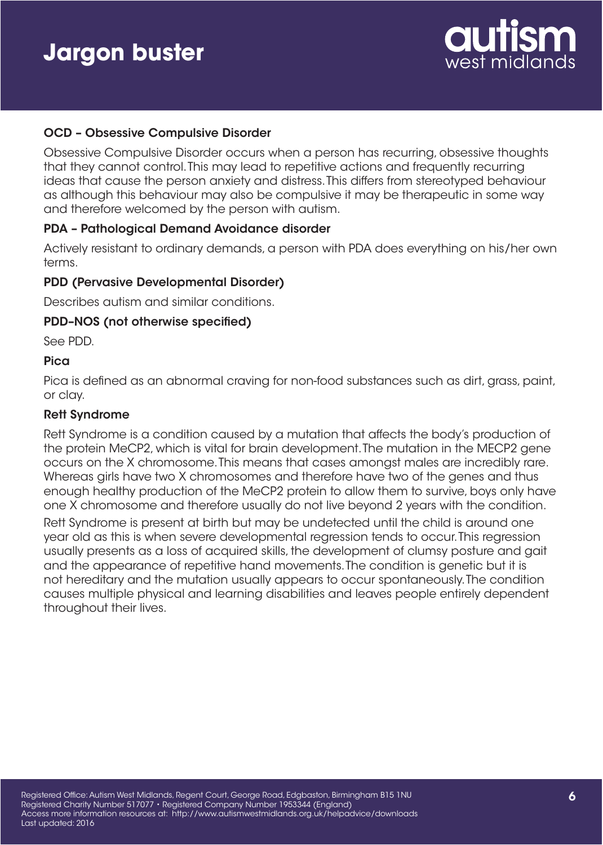

### OCD – Obsessive Compulsive Disorder

Obsessive Compulsive Disorder occurs when a person has recurring, obsessive thoughts that they cannot control. This may lead to repetitive actions and frequently recurring ideas that cause the person anxiety and distress. This differs from stereotyped behaviour as although this behaviour may also be compulsive it may be therapeutic in some way and therefore welcomed by the person with autism.

#### PDA – Pathological Demand Avoidance disorder

Actively resistant to ordinary demands, a person with PDA does everything on his/her own terms.

#### PDD (Pervasive Developmental Disorder)

Describes autism and similar conditions.

#### PDD–NOS (not otherwise specified)

See PDD.

#### Pica

Pica is defined as an abnormal craving for non-food substances such as dirt, grass, paint, or clay.

#### Rett Syndrome

Rett Syndrome is a condition caused by a mutation that affects the body's production of the protein MeCP2, which is vital for brain development. The mutation in the MECP2 gene occurs on the X chromosome. This means that cases amongst males are incredibly rare. Whereas girls have two X chromosomes and therefore have two of the genes and thus enough healthy production of the MeCP2 protein to allow them to survive, boys only have one X chromosome and therefore usually do not live beyond 2 years with the condition.

Rett Syndrome is present at birth but may be undetected until the child is around one year old as this is when severe developmental regression tends to occur. This regression usually presents as a loss of acquired skills, the development of clumsy posture and gait and the appearance of repetitive hand movements. The condition is genetic but it is not hereditary and the mutation usually appears to occur spontaneously. The condition causes multiple physical and learning disabilities and leaves people entirely dependent throughout their lives.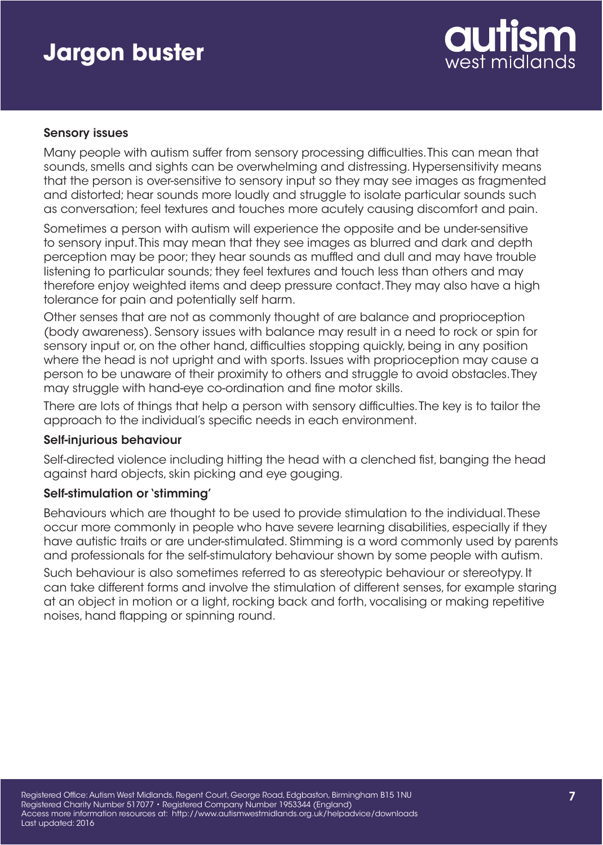

### Sensory issues

Many people with autism suffer from sensory processing difficulties. This can mean that sounds, smells and sights can be overwhelming and distressing. Hypersensitivity means that the person is over-sensitive to sensory input so they may see images as fragmented and distorted; hear sounds more loudly and struggle to isolate particular sounds such as conversation; feel textures and touches more acutely causing discomfort and pain.

Sometimes a person with autism will experience the opposite and be under-sensitive to sensory input. This may mean that they see images as blurred and dark and depth perception may be poor; they hear sounds as muffled and dull and may have trouble listening to particular sounds; they feel textures and touch less than others and may therefore enjoy weighted items and deep pressure contact. They may also have a high tolerance for pain and potentially self harm.

Other senses that are not as commonly thought of are balance and proprioception (body awareness). Sensory issues with balance may result in a need to rock or spin for sensory input or, on the other hand, difficulties stopping quickly, being in any position where the head is not upright and with sports. Issues with proprioception may cause a person to be unaware of their proximity to others and struggle to avoid obstacles. They may struggle with hand-eye co-ordination and fine motor skills.

There are lots of things that help a person with sensory difficulties. The key is to tailor the approach to the individual's specific needs in each environment.

#### Self-injurious behaviour

Self-directed violence including hitting the head with a clenched fist, banging the head against hard objects, skin picking and eye gouging.

## Self-stimulation or 'stimming'

Behaviours which are thought to be used to provide stimulation to the individual. These occur more commonly in people who have severe learning disabilities, especially if they have autistic traits or are under-stimulated. Stimming is a word commonly used by parents and professionals for the self-stimulatory behaviour shown by some people with autism.

Such behaviour is also sometimes referred to as stereotypic behaviour or stereotypy. It can take different forms and involve the stimulation of different senses, for example staring at an object in motion or a light, rocking back and forth, vocalising or making repetitive noises, hand flapping or spinning round.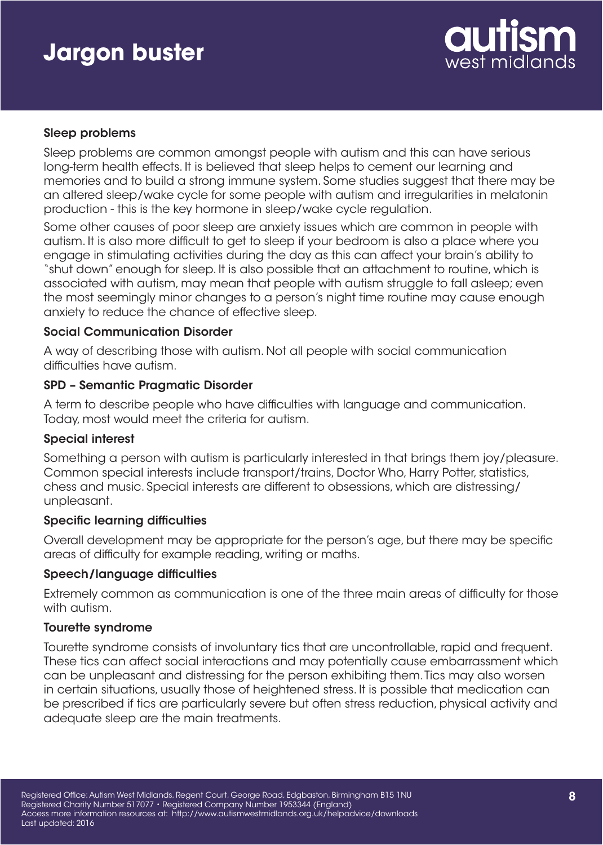

### Sleep problems

Sleep problems are common amongst people with autism and this can have serious long-term health effects. It is believed that sleep helps to cement our learning and memories and to build a strong immune system. Some studies suggest that there may be an altered sleep/wake cycle for some people with autism and irregularities in melatonin production - this is the key hormone in sleep/wake cycle regulation.

Some other causes of poor sleep are anxiety issues which are common in people with autism. It is also more difficult to get to sleep if your bedroom is also a place where you engage in stimulating activities during the day as this can affect your brain's ability to "shut down" enough for sleep. It is also possible that an attachment to routine, which is associated with autism, may mean that people with autism struggle to fall asleep; even the most seemingly minor changes to a person's night time routine may cause enough anxiety to reduce the chance of effective sleep.

#### Social Communication Disorder

A way of describing those with autism. Not all people with social communication difficulties have autism.

#### SPD – Semantic Pragmatic Disorder

A term to describe people who have difficulties with language and communication. Today, most would meet the criteria for autism.

#### Special interest

Something a person with autism is particularly interested in that brings them joy/pleasure. Common special interests include transport/trains, Doctor Who, Harry Potter, statistics, chess and music. Special interests are different to obsessions, which are distressing/ unpleasant.

#### Specific learning difficulties

Overall development may be appropriate for the person's age, but there may be specific areas of difficulty for example reading, writing or maths.

#### Speech/language difficulties

Extremely common as communication is one of the three main areas of difficulty for those with autism.

#### Tourette syndrome

Tourette syndrome consists of involuntary tics that are uncontrollable, rapid and frequent. These tics can affect social interactions and may potentially cause embarrassment which can be unpleasant and distressing for the person exhibiting them. Tics may also worsen in certain situations, usually those of heightened stress. It is possible that medication can be prescribed if tics are particularly severe but often stress reduction, physical activity and adequate sleep are the main treatments.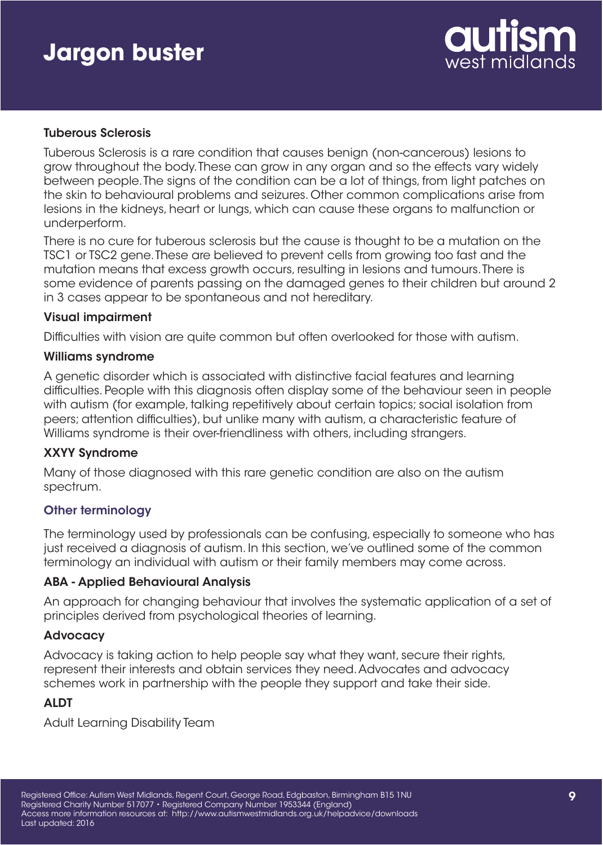

### Tuberous Sclerosis

Tuberous Sclerosis is a rare condition that causes benign (non-cancerous) lesions to grow throughout the body. These can grow in any organ and so the effects vary widely between people. The signs of the condition can be a lot of things, from light patches on the skin to behavioural problems and seizures. Other common complications arise from lesions in the kidneys, heart or lungs, which can cause these organs to malfunction or underperform.

There is no cure for tuberous sclerosis but the cause is thought to be a mutation on the TSC1 or TSC2 gene. These are believed to prevent cells from growing too fast and the mutation means that excess growth occurs, resulting in lesions and tumours. There is some evidence of parents passing on the damaged genes to their children but around 2 in 3 cases appear to be spontaneous and not hereditary.

#### Visual impairment

Difficulties with vision are quite common but often overlooked for those with autism.

#### Williams syndrome

A genetic disorder which is associated with distinctive facial features and learning difficulties. People with this diagnosis often display some of the behaviour seen in people with autism (for example, talking repetitively about certain topics; social isolation from peers; attention difficulties), but unlike many with autism, a characteristic feature of Williams syndrome is their over-friendliness with others, including strangers.

## XXYY Syndrome

Many of those diagnosed with this rare genetic condition are also on the autism spectrum.

## Other terminology

The terminology used by professionals can be confusing, especially to someone who has just received a diagnosis of autism. In this section, we've outlined some of the common terminology an individual with autism or their family members may come across.

#### ABA - Applied Behavioural Analysis

An approach for changing behaviour that involves the systematic application of a set of principles derived from psychological theories of learning.

#### Advocacy

Advocacy is taking action to help people say what they want, secure their rights, represent their interests and obtain services they need. Advocates and advocacy schemes work in partnership with the people they support and take their side.

## ALDT

Adult Learning Disability Team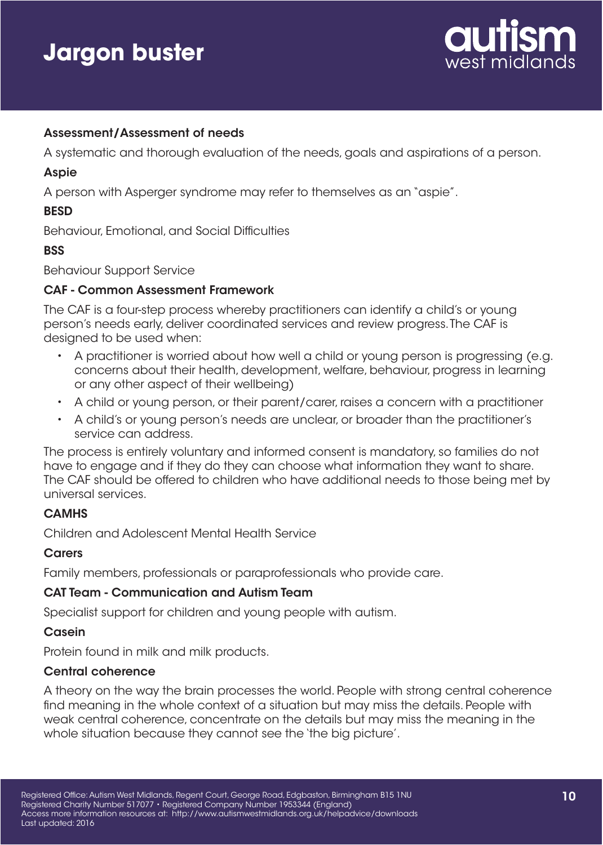

### Assessment/Assessment of needs

A systematic and thorough evaluation of the needs, goals and aspirations of a person.

#### Aspie

A person with Asperger syndrome may refer to themselves as an "aspie".

### **BESD**

Behaviour, Emotional, and Social Difficulties

#### **BSS**

Behaviour Support Service

### CAF - Common Assessment Framework

The CAF is a four-step process whereby practitioners can identify a child's or young person's needs early, deliver coordinated services and review progress. The CAF is designed to be used when:

- A practitioner is worried about how well a child or voung person is progressing (e.g. concerns about their health, development, welfare, behaviour, progress in learning or any other aspect of their wellbeing)
- A child or young person, or their parent/carer, raises a concern with a practitioner
- A child's or young person's needs are unclear, or broader than the practitioner's service can address.

The process is entirely voluntary and informed consent is mandatory, so families do not have to engage and if they do they can choose what information they want to share. The CAF should be offered to children who have additional needs to those being met by universal services.

## **CAMHS**

Children and Adolescent Mental Health Service

#### **Carers**

Family members, professionals or paraprofessionals who provide care.

#### CAT Team - Communication and Autism Team

Specialist support for children and young people with autism.

#### **Casein**

Protein found in milk and milk products.

#### Central coherence

A theory on the way the brain processes the world. People with strong central coherence find meaning in the whole context of a situation but may miss the details. People with weak central coherence, concentrate on the details but may miss the meaning in the whole situation because they cannot see the 'the big picture'.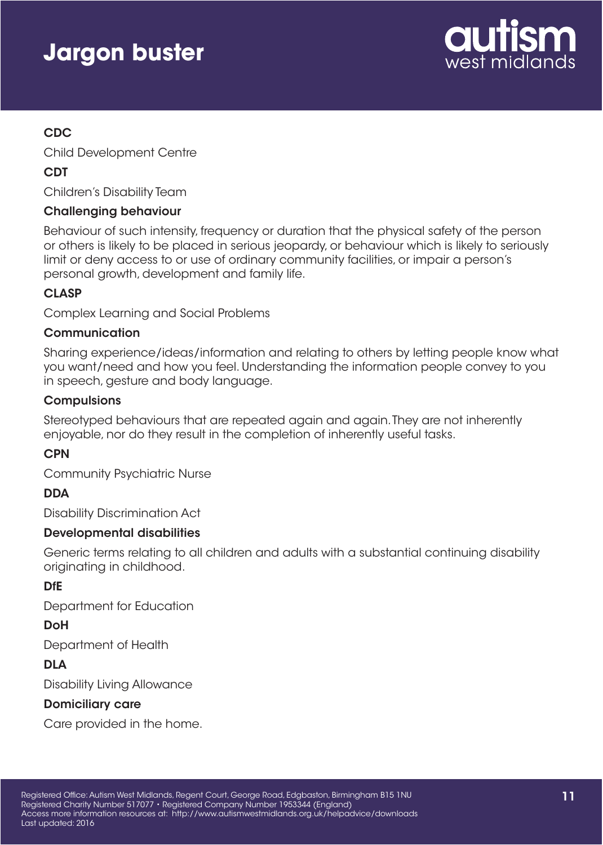

# CDC

Child Development Centre

# CDT

Children's Disability Team

## Challenging behaviour

Behaviour of such intensity, frequency or duration that the physical safety of the person or others is likely to be placed in serious jeopardy, or behaviour which is likely to seriously limit or deny access to or use of ordinary community facilities, or impair a person's personal growth, development and family life.

# **CLASP**

Complex Learning and Social Problems

# Communication

Sharing experience/ideas/information and relating to others by letting people know what you want/need and how you feel. Understanding the information people convey to you in speech, gesture and body language.

## **Compulsions**

Stereotyped behaviours that are repeated again and again. They are not inherently enjoyable, nor do they result in the completion of inherently useful tasks.

# **CPN**

Community Psychiatric Nurse

## **DDA**

Disability Discrimination Act

## Developmental disabilities

Generic terms relating to all children and adults with a substantial continuing disability originating in childhood.

# DfE

Department for Education

# **DoH**

Department of Health

# DLA

Disability Living Allowance

# Domiciliary care

Care provided in the home.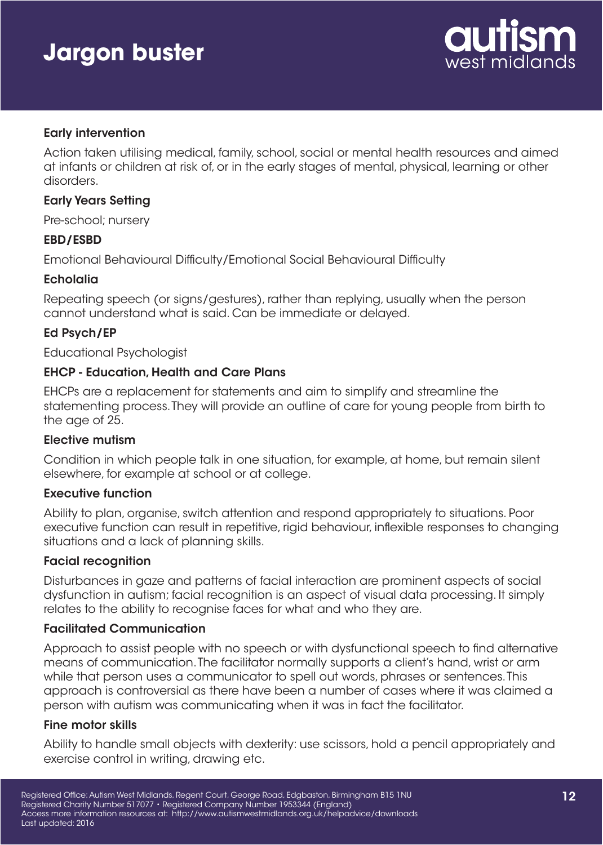

### Early intervention

Action taken utilising medical, family, school, social or mental health resources and aimed at infants or children at risk of, or in the early stages of mental, physical, learning or other disorders.

#### Early Years Setting

Pre-school; nursery

### EBD/ESBD

Emotional Behavioural Difficulty/Emotional Social Behavioural Difficulty

#### **Echolalia**

Repeating speech (or signs/gestures), rather than replying, usually when the person cannot understand what is said. Can be immediate or delayed.

#### Ed Psych/EP

Educational Psychologist

#### EHCP - Education, Health and Care Plans

EHCPs are a replacement for statements and aim to simplify and streamline the statementing process. They will provide an outline of care for young people from birth to the age of 25.

#### Elective mutism

Condition in which people talk in one situation, for example, at home, but remain silent elsewhere, for example at school or at college.

#### Executive function

Ability to plan, organise, switch attention and respond appropriately to situations. Poor executive function can result in repetitive, rigid behaviour, inflexible responses to changing situations and a lack of planning skills.

#### Facial recognition

Disturbances in gaze and patterns of facial interaction are prominent aspects of social dysfunction in autism; facial recognition is an aspect of visual data processing. It simply relates to the ability to recognise faces for what and who they are.

#### Facilitated Communication

Approach to assist people with no speech or with dysfunctional speech to find alternative means of communication. The facilitator normally supports a client's hand, wrist or arm while that person uses a communicator to spell out words, phrases or sentences. This approach is controversial as there have been a number of cases where it was claimed a person with autism was communicating when it was in fact the facilitator.

#### Fine motor skills

Ability to handle small objects with dexterity: use scissors, hold a pencil appropriately and exercise control in writing, drawing etc.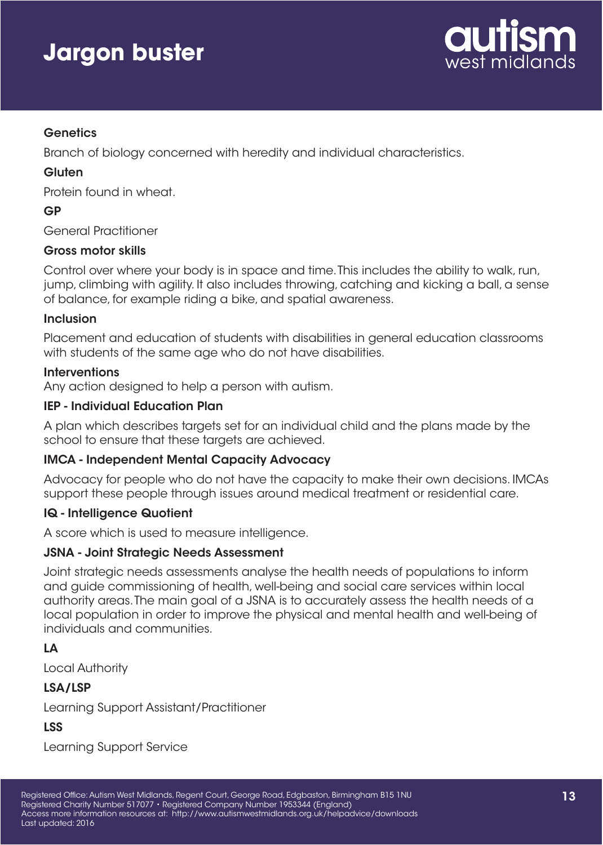

## **Genetics**

Branch of biology concerned with heredity and individual characteristics.

## **Gluten**

Protein found in wheat.

## GP

General Practitioner

### Gross motor skills

Control over where your body is in space and time. This includes the ability to walk, run, jump, climbing with agility. It also includes throwing, catching and kicking a ball, a sense of balance, for example riding a bike, and spatial awareness.

### Inclusion

Placement and education of students with disabilities in general education classrooms with students of the same age who do not have disabilities.

### **Interventions**

Any action designed to help a person with autism.

## IEP - Individual Education Plan

A plan which describes targets set for an individual child and the plans made by the school to ensure that these targets are achieved.

## IMCA - Independent Mental Capacity Advocacy

Advocacy for people who do not have the capacity to make their own decisions. IMCAs support these people through issues around medical treatment or residential care.

## IQ - Intelligence Quotient

A score which is used to measure intelligence.

## JSNA - Joint Strategic Needs Assessment

Joint strategic needs assessments analyse the health needs of populations to inform and guide commissioning of health, well-being and social care services within local authority areas. The main goal of a JSNA is to accurately assess the health needs of a local population in order to improve the physical and mental health and well-being of individuals and communities.

# LA

Local Authority

## LSA/LSP

Learning Support Assistant/Practitioner

# LSS

Learning Support Service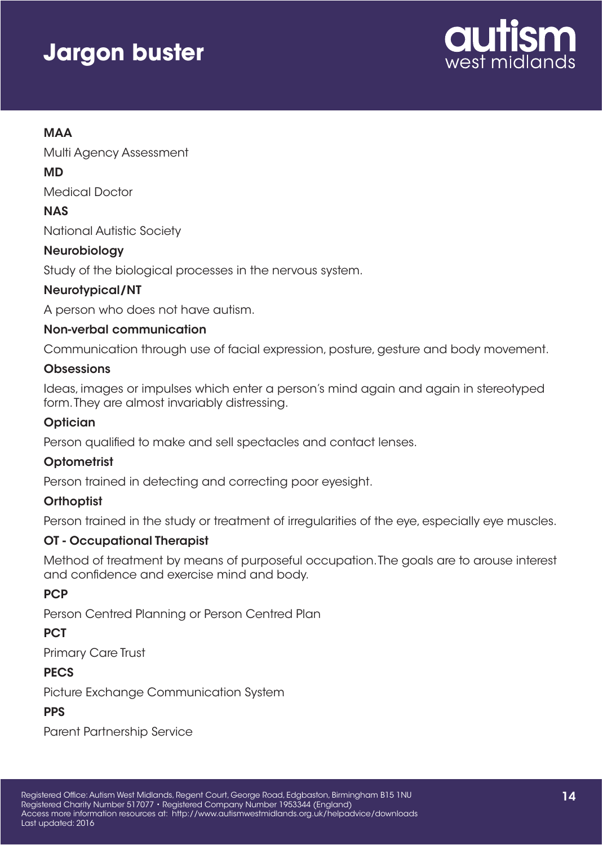

# MAA

Multi Agency Assessment

## MD

Medical Doctor

# **NAS**

National Autistic Society

# Neurobiology

Study of the biological processes in the nervous system.

# Neurotypical/NT

A person who does not have autism.

## Non-verbal communication

Communication through use of facial expression, posture, gesture and body movement.

### **Obsessions**

Ideas, images or impulses which enter a person's mind again and again in stereotyped form. They are almost invariably distressing.

## **Optician**

Person qualified to make and sell spectacles and contact lenses.

## **Optometrist**

Person trained in detecting and correcting poor eyesight.

## **Orthoptist**

Person trained in the study or treatment of irregularities of the eye, especially eye muscles.

## OT - Occupational Therapist

Method of treatment by means of purposeful occupation. The goals are to arouse interest and confidence and exercise mind and body.

# **PCP**

Person Centred Planning or Person Centred Plan

## **PCT**

Primary Care Trust

## **PECS**

Picture Exchange Communication System

# **PPS**

Parent Partnership Service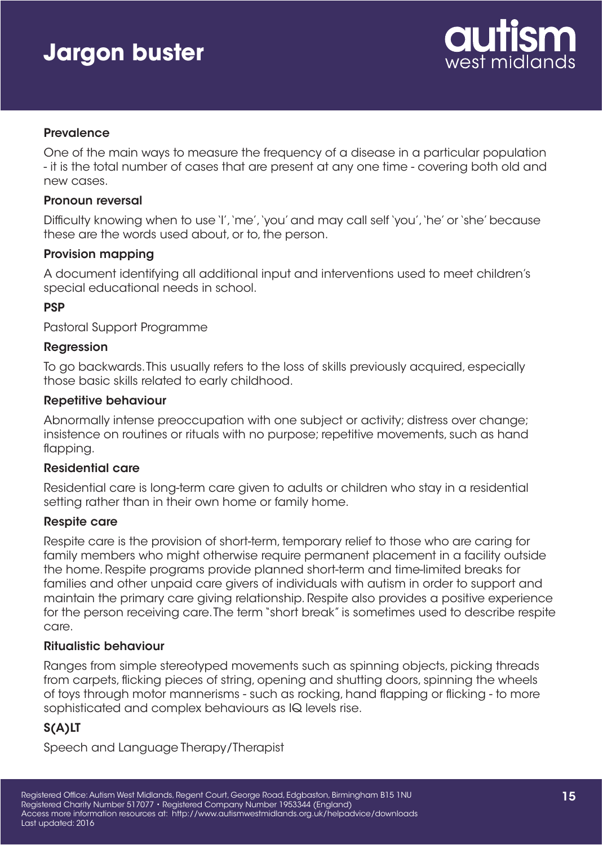

#### **Prevalence**

One of the main ways to measure the frequency of a disease in a particular population - it is the total number of cases that are present at any one time - covering both old and new cases.

#### Pronoun reversal

Difficulty knowing when to use 'I', 'me', 'you' and may call self 'you', 'he' or 'she' because these are the words used about, or to, the person.

#### Provision mapping

A document identifying all additional input and interventions used to meet children's special educational needs in school.

### PSP

Pastoral Support Programme

#### Regression

To go backwards. This usually refers to the loss of skills previously acquired, especially those basic skills related to early childhood.

#### Repetitive behaviour

Abnormally intense preoccupation with one subject or activity; distress over change; insistence on routines or rituals with no purpose; repetitive movements, such as hand flapping.

#### Residential care

Residential care is long-term care given to adults or children who stay in a residential setting rather than in their own home or family home.

#### Respite care

Respite care is the provision of short-term, temporary relief to those who are caring for family members who might otherwise require permanent placement in a facility outside the home. Respite programs provide planned short-term and time-limited breaks for families and other unpaid care givers of individuals with autism in order to support and maintain the primary care giving relationship. Respite also provides a positive experience for the person receiving care. The term "short break" is sometimes used to describe respite care.

## Ritualistic behaviour

Ranges from simple stereotyped movements such as spinning objects, picking threads from carpets, flicking pieces of string, opening and shutting doors, spinning the wheels of toys through motor mannerisms - such as rocking, hand flapping or flicking - to more sophisticated and complex behaviours as IQ levels rise.

# S(A)LT

Speech and Language Therapy/Therapist